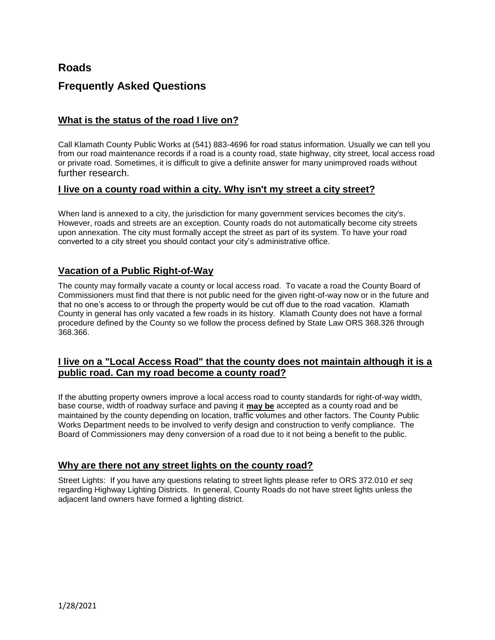# **Roads**

# **Frequently Asked Questions**

### **What is the status of the road I live on?**

Call Klamath County Public Works at (541) 883-4696 for road status information. Usually we can tell you from our road maintenance records if a road is a county road, state highway, city street, local access road or private road. Sometimes, it is difficult to give a definite answer for many unimproved roads without further research.

#### **I live on a county road within a city. Why isn't my street a city street?**

When land is annexed to a city, the jurisdiction for many government services becomes the city's. However, roads and streets are an exception. County roads do not automatically become city streets upon annexation. The city must formally accept the street as part of its system. To have your road converted to a city street you should contact your city's administrative office.

## **Vacation of a Public Right-of-Way**

The county may formally vacate a county or local access road. To vacate a road the County Board of Commissioners must find that there is not public need for the given right-of-way now or in the future and that no one's access to or through the property would be cut off due to the road vacation. Klamath County in general has only vacated a few roads in its history. Klamath County does not have a formal procedure defined by the County so we follow the process defined by State Law ORS 368.326 through 368.366.

### **I live on a "Local Access Road" that the county does not maintain although it is a public road. Can my road become a county road?**

If the abutting property owners improve a local access road to county standards for right-of-way width, base course, width of roadway surface and paving it **may be** accepted as a county road and be maintained by the county depending on location, traffic volumes and other factors. The County Public Works Department needs to be involved to verify design and construction to verify compliance. The Board of Commissioners may deny conversion of a road due to it not being a benefit to the public.

#### **Why are there not any street lights on the county road?**

Street Lights: If you have any questions relating to street lights please refer to ORS 372.010 *et seq*  regarding Highway Lighting Districts. In general, County Roads do not have street lights unless the adjacent land owners have formed a lighting district.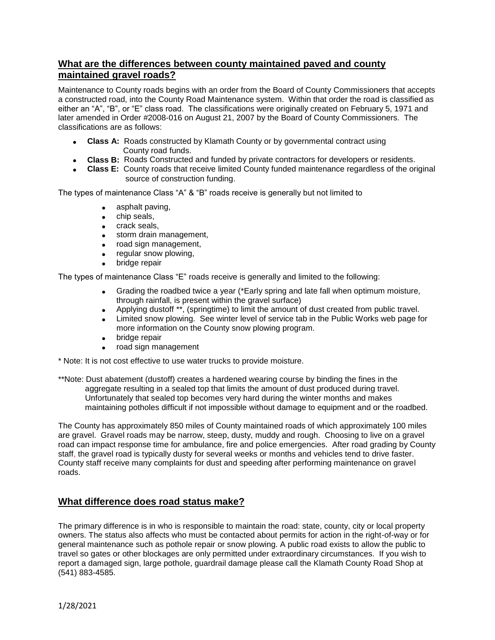### **What are the differences between county maintained paved and county maintained gravel roads?**

Maintenance to County roads begins with an order from the Board of County Commissioners that accepts a constructed road, into the County Road Maintenance system. Within that order the road is classified as either an "A", "B", or "E" class road. The classifications were originally created on February 5, 1971 and later amended in Order #2008-016 on August 21, 2007 by the Board of County Commissioners. The classifications are as follows:

- **Class A:** Roads constructed by Klamath County or by governmental contract using County road funds.
- **Class B:** Roads Constructed and funded by private contractors for developers or residents.
- **Class E:** County roads that receive limited County funded maintenance regardless of the original source of construction funding.

The types of maintenance Class "A" & "B" roads receive is generally but not limited to

- asphalt paving.
- **chip seals,**
- crack seals,
- **storm drain management,**
- road sign management,
- regular snow plowing,
- bridge repair

The types of maintenance Class "E" roads receive is generally and limited to the following:

- Grading the roadbed twice a year (\*Early spring and late fall when optimum moisture, through rainfall, is present within the gravel surface)
- Applying dustoff \*\*, (springtime) to limit the amount of dust created from public travel.<br>• Limited snow plowing. See winter level of service tab in the Public Works web page fo
- Limited snow plowing. See winter level of service tab in the Public Works web page for more information on the County snow plowing program.
- **•** bridge repair
- road sign management

\* Note: It is not cost effective to use water trucks to provide moisture.

\*\*Note: Dust abatement (dustoff) creates a hardened wearing course by binding the fines in the aggregate resulting in a sealed top that limits the amount of dust produced during travel. Unfortunately that sealed top becomes very hard during the winter months and makes maintaining potholes difficult if not impossible without damage to equipment and or the roadbed.

The County has approximately 850 miles of County maintained roads of which approximately 100 miles are gravel. Gravel roads may be narrow, steep, dusty, muddy and rough. Choosing to live on a gravel road can impact response time for ambulance, fire and police emergencies. After road grading by County staff, the gravel road is typically dusty for several weeks or months and vehicles tend to drive faster. County staff receive many complaints for dust and speeding after performing maintenance on gravel roads.

## **What difference does road status make?**

The primary difference is in who is responsible to maintain the road: state, county, city or local property owners. The status also affects who must be contacted about permits for action in the right-of-way or for general maintenance such as pothole repair or snow plowing. A public road exists to allow the public to travel so gates or other blockages are only permitted under extraordinary circumstances. If you wish to report a damaged sign, large pothole, guardrail damage please call the Klamath County Road Shop at (541) 883-4585.